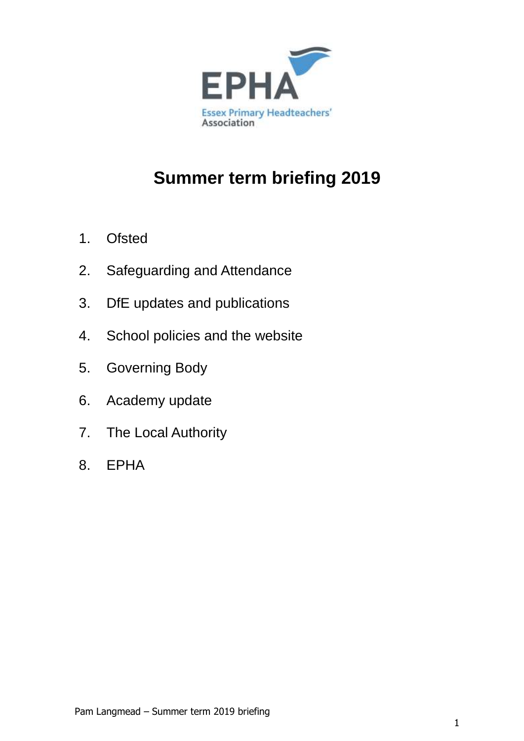

# **Summer term briefing 2019**

- 1. Ofsted
- 2. Safeguarding and Attendance
- 3. DfE updates and publications
- 4. School policies and the website
- 5. Governing Body
- 6. Academy update
- 7. The Local Authority
- 8. EPHA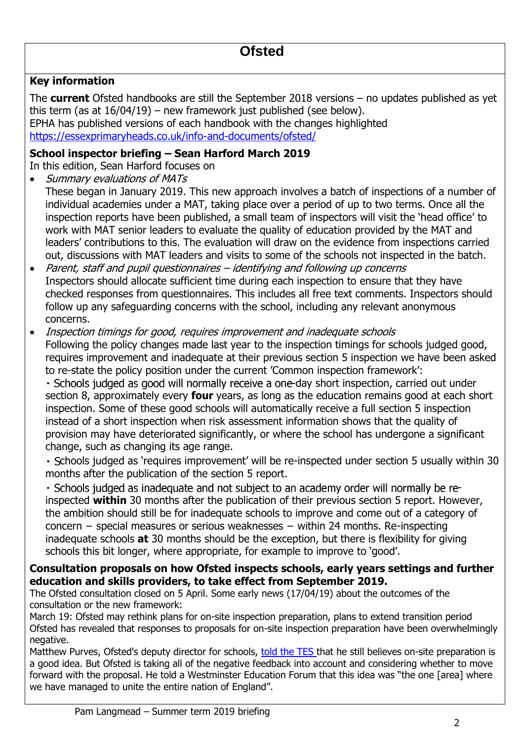## **Key information**

The **current** Ofsted handbooks are still the September 2018 versions – no updates published as yet this term (as at 16/04/19) – new framework just published (see below). EPHA has published versions of each handbook with the changes highlighted <https://essexprimaryheads.co.uk/info-and-documents/ofsted/>

## **School inspector briefing – Sean Harford March 2019**

In this edition, Sean Harford focuses on

- Summary evaluations of MATs
- These began in January 2019. This new approach involves a batch of inspections of a number of individual academies under a MAT, taking place over a period of up to two terms. Once all the inspection reports have been published, a small team of inspectors will visit the 'head office' to work with MAT senior leaders to evaluate the quality of education provided by the MAT and leaders' contributions to this. The evaluation will draw on the evidence from inspections carried out, discussions with MAT leaders and visits to some of the schools not inspected in the batch.
- Parent, staff and pupil questionnaires identifying and following up concerns Inspectors should allocate sufficient time during each inspection to ensure that they have checked responses from questionnaires. This includes all free text comments. Inspectors should follow up any safeguarding concerns with the school, including any relevant anonymous concerns.

• Inspection timings for good, requires improvement and inadequate schools Following the policy changes made last year to the inspection timings for schools judged good, requires improvement and inadequate at their previous section 5 inspection we have been asked to re-state the policy position under the current 'Common inspection framework':

- Schools judged as good will normally receive a one-day short inspection, carried out under section 8, approximately every **four** years, as long as the education remains good at each short inspection. Some of these good schools will automatically receive a full section 5 inspection instead of a short inspection when risk assessment information shows that the quality of provision may have deteriorated significantly, or where the school has undergone a significant change, such as changing its age range.

- Schools judged as 'requires improvement' will be re-inspected under section 5 usually within 30 months after the publication of the section 5 report.

- Schools judged as inadequate and not subject to an academy order will normally be reinspected **within** 30 months after the publication of their previous section 5 report. However, the ambition should still be for inadequate schools to improve and come out of a category of concern − special measures or serious weaknesses − within 24 months. Re-inspecting inadequate schools **at** 30 months should be the exception, but there is flexibility for giving schools this bit longer, where appropriate, for example to improve to 'good'.

## **Consultation proposals on how Ofsted inspects schools, early years settings and further education and skills providers, to take effect from September 2019.**

The Ofsted consultation closed on 5 April. Some early news (17/04/19) about the outcomes of the consultation or the new framework:

March 19: Ofsted may rethink plans for on-site inspection preparation, plans to extend transition period Ofsted has revealed that responses to proposals for on-site inspection preparation have been overwhelmingly negative.

Matthew Purves, Ofsted's deputy director for schools, [told the TES t](https://www.tes.com/news/ofsted-may-rethink-plan-give-just-150-minutes-notice-inspectors-arrival)hat he still believes on-site preparation is a good idea. But Ofsted is taking all of the negative feedback into account and considering whether to move forward with the proposal. He told a Westminster Education Forum that this idea was "the one [area] where we have managed to unite the entire nation of England".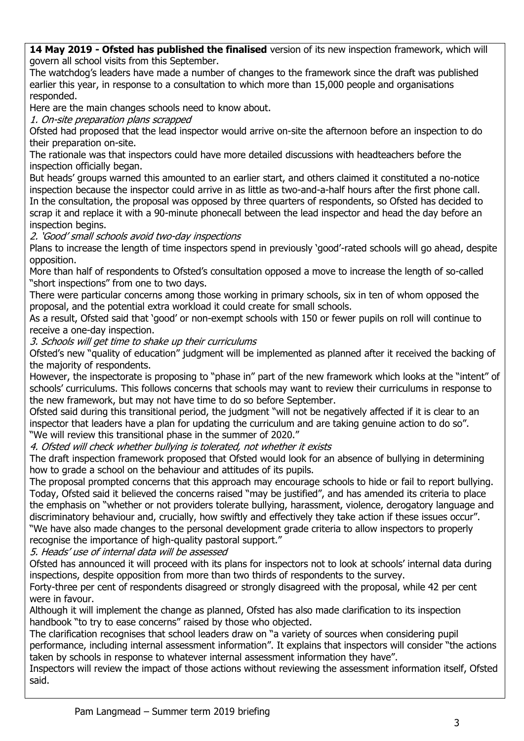**14 May 2019 - Ofsted has published the finalised** version of its new inspection framework, which will govern all school visits from this September.

The watchdog's leaders have made a number of changes to the framework since the draft was published earlier this year, in response to a consultation to which more than 15,000 people and organisations responded.

Here are the main changes schools need to know about.

1. On-site preparation plans scrapped

Ofsted had proposed that the lead inspector would arrive on-site the afternoon before an inspection to do their preparation on-site.

The rationale was that inspectors could have more detailed discussions with headteachers before the inspection officially began.

But heads' groups warned this amounted to an earlier start, and others claimed it constituted a no-notice inspection because the inspector could arrive in as little as two-and-a-half hours after the first phone call. In the consultation, the proposal was opposed by three quarters of respondents, so Ofsted has decided to scrap it and replace it with a 90-minute phonecall between the lead inspector and head the day before an inspection begins.

2. 'Good' small schools avoid two-day inspections

Plans to increase the length of time inspectors spend in previously 'good'-rated schools will go ahead, despite opposition.

More than half of respondents to Ofsted's consultation opposed a move to increase the length of so-called "short inspections" from one to two days.

There were particular concerns among those working in primary schools, six in ten of whom opposed the proposal, and the potential extra workload it could create for small schools.

As a result, Ofsted said that 'good' or non-exempt schools with 150 or fewer pupils on roll will continue to receive a one-day inspection.

3. Schools will get time to shake up their curriculums

Ofsted's new "quality of education" judgment will be implemented as planned after it received the backing of the majority of respondents.

However, the inspectorate is proposing to "phase in" part of the new framework which looks at the "intent" of schools' curriculums. This follows concerns that schools may want to review their curriculums in response to the new framework, but may not have time to do so before September.

Ofsted said during this transitional period, the judgment "will not be negatively affected if it is clear to an inspector that leaders have a plan for updating the curriculum and are taking genuine action to do so". "We will review this transitional phase in the summer of 2020."

4. Ofsted will check whether bullying is tolerated, not whether it exists

The draft inspection framework proposed that Ofsted would look for an absence of bullying in determining how to grade a school on the behaviour and attitudes of its pupils.

The proposal prompted concerns that this approach may encourage schools to hide or fail to report bullying. Today, Ofsted said it believed the concerns raised "may be justified", and has amended its criteria to place the emphasis on "whether or not providers tolerate bullying, harassment, violence, derogatory language and discriminatory behaviour and, crucially, how swiftly and effectively they take action if these issues occur". "We have also made changes to the personal development grade criteria to allow inspectors to properly recognise the importance of high-quality pastoral support."

5. Heads' use of internal data will be assessed

Ofsted has announced it will proceed with its plans for inspectors not to look at schools' internal data during inspections, despite opposition from more than two thirds of respondents to the survey.

Forty-three per cent of respondents disagreed or strongly disagreed with the proposal, while 42 per cent were in favour.

Although it will implement the change as planned, Ofsted has also made clarification to its inspection handbook "to try to ease concerns" raised by those who objected.

The clarification recognises that school leaders draw on "a variety of sources when considering pupil performance, including internal assessment information". It explains that inspectors will consider "the actions taken by schools in response to whatever internal assessment information they have".

Inspectors will review the impact of those actions without reviewing the assessment information itself, Ofsted said.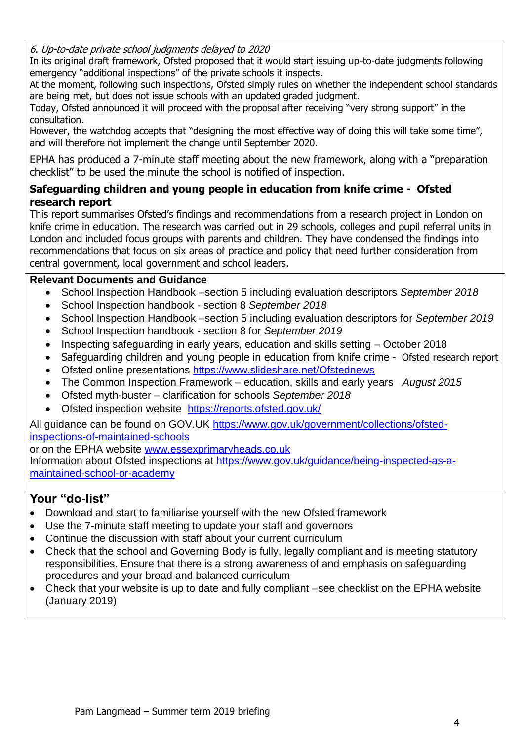6. Up-to-date private school judgments delayed to 2020

In its original draft framework, Ofsted proposed that it would start issuing up-to-date judgments following emergency "additional inspections" of the private schools it inspects.

At the moment, following such inspections, Ofsted simply rules on whether the independent school standards are being met, but does not issue schools with an updated graded judgment.

Today, Ofsted announced it will proceed with the proposal after receiving "very strong support" in the consultation.

However, the watchdog accepts that "designing the most effective way of doing this will take some time", and will therefore not implement the change until September 2020.

EPHA has produced a 7-minute staff meeting about the new framework, along with a "preparation checklist" to be used the minute the school is notified of inspection.

## **Safeguarding children and young people in education from knife crime - Ofsted research report**

This report summarises Ofsted's findings and recommendations from a research project in London on knife crime in education. The research was carried out in 29 schools, colleges and pupil referral units in London and included focus groups with parents and children. They have condensed the findings into recommendations that focus on six areas of practice and policy that need further consideration from central government, local government and school leaders.

## **Relevant Documents and Guidance**

- School Inspection Handbook –section 5 including evaluation descriptors *September 2018*
- School Inspection handbook section 8 *September 2018*
- School Inspection Handbook –section 5 including evaluation descriptors for *September 2019*
- School Inspection handbook section 8 for *September 2019*
- Inspecting safeguarding in early years, education and skills setting October 2018
- Safeguarding children and young people in education from knife crime Ofsted research report
- Ofsted online presentations<https://www.slideshare.net/Ofstednews>
- The Common Inspection Framework education, skills and early years *August 2015*
- Ofsted myth-buster clarification for schools *September 2018*
- Ofsted inspection website <https://reports.ofsted.gov.uk/>

All quidance can be found on GOV.UK [https://www.gov.uk/government/collections/ofsted](https://www.gov.uk/government/collections/ofsted-inspections-of-maintained-schools)[inspections-of-maintained-schools](https://www.gov.uk/government/collections/ofsted-inspections-of-maintained-schools)

or on the EPHA website [www.essexprimaryheads.co.uk](http://www.essexprimaryheads.co.uk/)

Information about Ofsted inspections at [https://www.gov.uk/guidance/being-inspected-as-a](https://www.gov.uk/guidance/being-inspected-as-a-maintained-school-or-academy)[maintained-school-or-academy](https://www.gov.uk/guidance/being-inspected-as-a-maintained-school-or-academy)

- Download and start to familiarise yourself with the new Ofsted framework
- Use the 7-minute staff meeting to update your staff and governors
- Continue the discussion with staff about your current curriculum
- Check that the school and Governing Body is fully, legally compliant and is meeting statutory responsibilities. Ensure that there is a strong awareness of and emphasis on safeguarding procedures and your broad and balanced curriculum
- Check that your website is up to date and fully compliant –see checklist on the EPHA website (January 2019)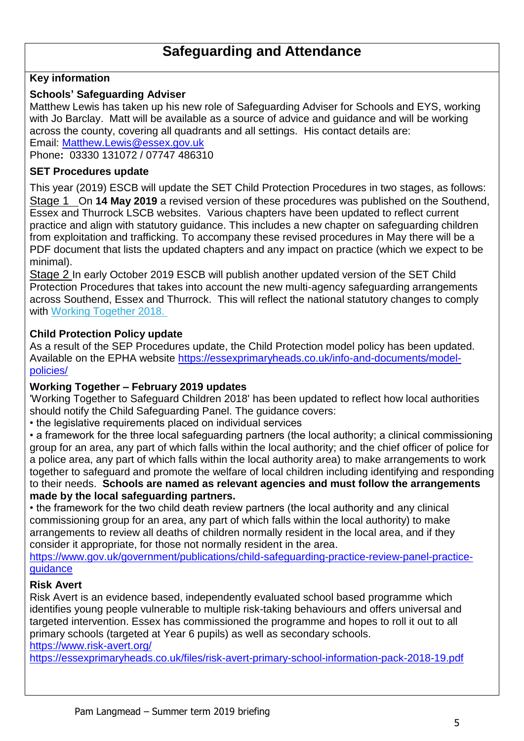## **Safeguarding and Attendance**

### **Key information**

#### **Schools' Safeguarding Adviser**

Matthew Lewis has taken up his new role of Safeguarding Adviser for Schools and EYS, working with Jo Barclay. Matt will be available as a source of advice and guidance and will be working across the county, covering all quadrants and all settings. His contact details are: Email: [Matthew.Lewis@essex.gov.uk](mailto:Matthew.Lewis@essex.gov.uk)

Phone**:** 03330 131072 / 07747 486310

#### **SET Procedures update**

This year (2019) ESCB will update the SET Child Protection Procedures in two stages, as follows: Stage 1 On **14 May 2019** a revised version of these procedures was published on the Southend, Essex and Thurrock LSCB websites. Various chapters have been updated to reflect current practice and align with statutory guidance. This includes a new chapter on safeguarding children from exploitation and trafficking. To accompany these revised procedures in May there will be a PDF document that lists the updated chapters and any impact on practice (which we expect to be minimal).

Stage 2 In early October 2019 ESCB will publish another updated version of the SET Child Protection Procedures that takes into account the new multi-agency safeguarding arrangements across Southend, Essex and Thurrock. This will reflect the national statutory changes to comply with [Working Together 2018.](http://links.govdelivery.com/track?type=click&enid=ZWFzPTEmbWFpbGluZ2lkPTIwMTkwNTAxLjUzODE3OTEmbWVzc2FnZWlkPU1EQi1QUkQtQlVMLTIwMTkwNTAxLjUzODE3OTEmZGF0YWJhc2VpZD0xMDAxJnNlcmlhbD0xNzQ2NjI3MyZlbWFpbGlkPXBhbUBsYW5nbWVhZC5tZS51ayZ1c2VyaWQ9cGFtQGxhbmdtZWFkLm1lLnVrJmZsPSZleHRyYT1NdWx0aXZhcmlhdGVJZD0mJiY=&&&100&&&https://assets.publishing.service.gov.uk/government/uploads/system/uploads/attachment_data/file/779401/Working_Together_to_Safeguard-Children.pdf)

#### **Child Protection Policy update**

As a result of the SEP Procedures update, the Child Protection model policy has been updated. Available on the EPHA website [https://essexprimaryheads.co.uk/info-and-documents/model](https://essexprimaryheads.co.uk/info-and-documents/model-policies/)[policies/](https://essexprimaryheads.co.uk/info-and-documents/model-policies/)

#### **Working Together – February 2019 updates**

'Working Together to Safeguard Children 2018' has been updated to reflect how local authorities should notify the Child Safeguarding Panel. The guidance covers:

• the legislative requirements placed on individual services

• a framework for the three local safeguarding partners (the local authority; a clinical commissioning group for an area, any part of which falls within the local authority; and the chief officer of police for a police area, any part of which falls within the local authority area) to make arrangements to work together to safeguard and promote the welfare of local children including identifying and responding to their needs. **Schools are named as relevant agencies and must follow the arrangements made by the local safeguarding partners.** 

• the framework for the two child death review partners (the local authority and any clinical commissioning group for an area, any part of which falls within the local authority) to make arrangements to review all deaths of children normally resident in the local area, and if they consider it appropriate, for those not normally resident in the area.

[https://www.gov.uk/government/publications/child-safeguarding-practice-review-panel-practice](https://www.gov.uk/government/publications/child-safeguarding-practice-review-panel-practice-guidance)**[guidance](https://www.gov.uk/government/publications/child-safeguarding-practice-review-panel-practice-guidance)** 

#### **Risk Avert**

Risk Avert is an evidence based, independently evaluated school based programme which identifies young people vulnerable to multiple risk-taking behaviours and offers universal and targeted intervention. Essex has commissioned the programme and hopes to roll it out to all primary schools (targeted at Year 6 pupils) as well as secondary schools. <https://www.risk-avert.org/>

<https://essexprimaryheads.co.uk/files/risk-avert-primary-school-information-pack-2018-19.pdf>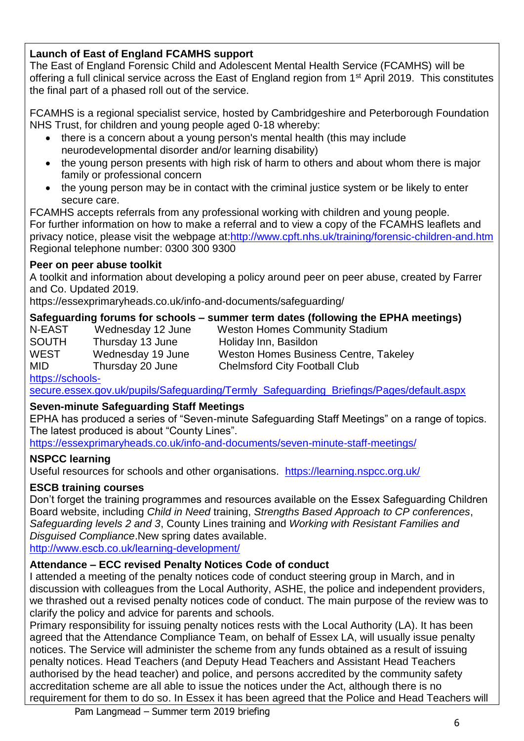## **Launch of East of England FCAMHS support**

The East of England Forensic Child and Adolescent Mental Health Service (FCAMHS) will be offering a full clinical service across the East of England region from 1<sup>st</sup> April 2019. This constitutes the final part of a phased roll out of the service.

FCAMHS is a regional specialist service, hosted by Cambridgeshire and Peterborough Foundation NHS Trust, for children and young people aged 0-18 whereby:

- there is a concern about a young person's mental health (this may include neurodevelopmental disorder and/or learning disability)
- the young person presents with high risk of harm to others and about whom there is major family or professional concern
- the young person may be in contact with the criminal justice system or be likely to enter secure care.

FCAMHS accepts referrals from any professional working with children and young people. For further information on how to make a referral and to view a copy of the FCAMHS leaflets and privacy notice, please visit the webpage at[:http://www.cpft.nhs.uk/training/forensic-children-and.htm](http://www.cpft.nhs.uk/training/forensic-children-and.htm) Regional telephone number: 0300 300 9300

## **Peer on peer abuse toolkit**

A toolkit and information about developing a policy around peer on peer abuse, created by Farrer and Co. Updated 2019.

https://essexprimaryheads.co.uk/info-and-documents/safeguarding/

## **Safeguarding forums for schools – summer term dates (following the EPHA meetings)**

| N-EAST | Wednesday 12 June | <b>Weston Homes Community Stadium</b> |
|--------|-------------------|---------------------------------------|
| SOUTH  | Thursday 13 June  | Holiday Inn, Basildon                 |
| WEST   | Wednesday 19 June | Weston Homes Business Centre, Takeley |
| MID    | Thursday 20 June  | <b>Chelmsford City Football Club</b>  |
|        |                   |                                       |

[https://schools-](https://schools-secure.essex.gov.uk/pupils/Safeguarding/Termly_Safeguarding_Briefings/Pages/default.aspx)

[secure.essex.gov.uk/pupils/Safeguarding/Termly\\_Safeguarding\\_Briefings/Pages/default.aspx](https://schools-secure.essex.gov.uk/pupils/Safeguarding/Termly_Safeguarding_Briefings/Pages/default.aspx)

## **Seven-minute Safeguarding Staff Meetings**

EPHA has produced a series of "Seven-minute Safeguarding Staff Meetings" on a range of topics. The latest produced is about "County Lines".

<https://essexprimaryheads.co.uk/info-and-documents/seven-minute-staff-meetings/>

#### **NSPCC learning**

Useful resources for schools and other organisations. <https://learning.nspcc.org.uk/>

## **ESCB training courses**

Don't forget the training programmes and resources available on the Essex Safeguarding Children Board website, including *Child in Need* training, *Strengths Based Approach to CP conferences*, *Safeguarding levels 2 and 3*, County Lines training and *Working with Resistant Families and Disguised Compliance*.New spring dates available.

<http://www.escb.co.uk/learning-development/>

## **Attendance – ECC revised Penalty Notices Code of conduct**

I attended a meeting of the penalty notices code of conduct steering group in March, and in discussion with colleagues from the Local Authority, ASHE, the police and independent providers, we thrashed out a revised penalty notices code of conduct. The main purpose of the review was to clarify the policy and advice for parents and schools.

Primary responsibility for issuing penalty notices rests with the Local Authority (LA). It has been agreed that the Attendance Compliance Team, on behalf of Essex LA, will usually issue penalty notices. The Service will administer the scheme from any funds obtained as a result of issuing penalty notices. Head Teachers (and Deputy Head Teachers and Assistant Head Teachers authorised by the head teacher) and police, and persons accredited by the community safety accreditation scheme are all able to issue the notices under the Act, although there is no requirement for them to do so. In Essex it has been agreed that the Police and Head Teachers will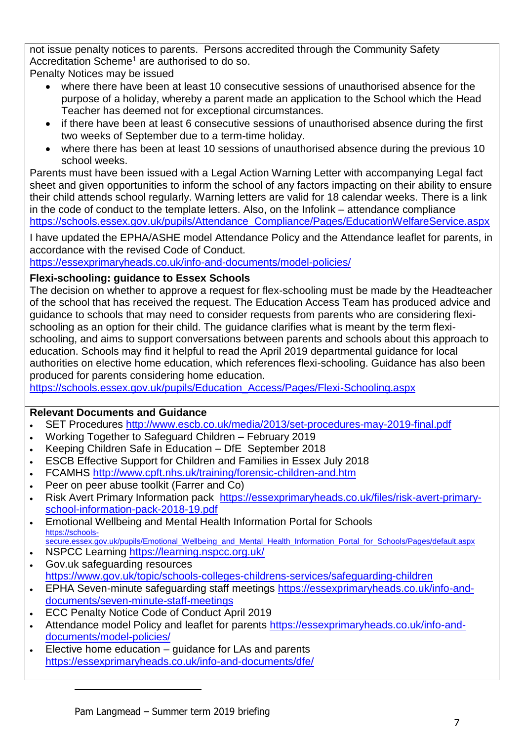not issue penalty notices to parents. Persons accredited through the Community Safety Accreditation Scheme<sup>1</sup> are authorised to do so.

Penalty Notices may be issued

- where there have been at least 10 consecutive sessions of unauthorised absence for the purpose of a holiday, whereby a parent made an application to the School which the Head Teacher has deemed not for exceptional circumstances.
- if there have been at least 6 consecutive sessions of unauthorised absence during the first two weeks of September due to a term-time holiday.
- where there has been at least 10 sessions of unauthorised absence during the previous 10 school weeks.

Parents must have been issued with a Legal Action Warning Letter with accompanying Legal fact sheet and given opportunities to inform the school of any factors impacting on their ability to ensure their child attends school regularly. Warning letters are valid for 18 calendar weeks. There is a link in the code of conduct to the template letters. Also, on the Infolink – attendance compliance [https://schools.essex.gov.uk/pupils/Attendance\\_Compliance/Pages/EducationWelfareService.aspx](https://schools.essex.gov.uk/pupils/Attendance_Compliance/Pages/EducationWelfareService.aspx)

I have updated the EPHA/ASHE model Attendance Policy and the Attendance leaflet for parents, in accordance with the revised Code of Conduct.

<https://essexprimaryheads.co.uk/info-and-documents/model-policies/>

## **Flexi-schooling: guidance to Essex Schools**

The decision on whether to approve a request for flex-schooling must be made by the Headteacher of the school that has received the request. The Education Access Team has produced advice and guidance to schools that may need to consider requests from parents who are considering flexischooling as an option for their child. The guidance clarifies what is meant by the term flexischooling, and aims to support conversations between parents and schools about this approach to education. Schools may find it helpful to read the April 2019 departmental guidance for local authorities on elective home education, which references flexi-schooling. Guidance has also been produced for parents considering home education.

[https://schools.essex.gov.uk/pupils/Education\\_Access/Pages/Flexi-Schooling.aspx](https://schools.essex.gov.uk/pupils/Education_Access/Pages/Flexi-Schooling.aspx)

## **Relevant Documents and Guidance**

- SET Procedures<http://www.escb.co.uk/media/2013/set-procedures-may-2019-final.pdf>
- Working Together to Safeguard Children February 2019
- Keeping Children Safe in Education DfE September 2018
- ESCB Effective Support for Children and Families in Essex July 2018
- FCAMHS<http://www.cpft.nhs.uk/training/forensic-children-and.htm>
- Peer on peer abuse toolkit (Farrer and Co)
- Risk Avert Primary Information pack [https://essexprimaryheads.co.uk/files/risk-avert-primary](https://essexprimaryheads.co.uk/files/risk-avert-primary-school-information-pack-2018-19.pdf)[school-information-pack-2018-19.pdf](https://essexprimaryheads.co.uk/files/risk-avert-primary-school-information-pack-2018-19.pdf)
- Emotional Wellbeing and Mental Health Information Portal for Schools [https://schools-](https://schools-secure.essex.gov.uk/pupils/Emotional_Wellbeing_and_Mental_Health_Information_Portal_for_Schools/Pages/default.aspx)
- [secure.essex.gov.uk/pupils/Emotional\\_Wellbeing\\_and\\_Mental\\_Health\\_Information\\_Portal\\_for\\_Schools/Pages/default.aspx](https://schools-secure.essex.gov.uk/pupils/Emotional_Wellbeing_and_Mental_Health_Information_Portal_for_Schools/Pages/default.aspx)
- NSPCC Learning<https://learning.nspcc.org.uk/>
- Gov.uk safeguarding resources <https://www.gov.uk/topic/schools-colleges-childrens-services/safeguarding-children>
- EPHA Seven-minute safeguarding staff meetings [https://essexprimaryheads.co.uk/info-and](https://essexprimaryheads.co.uk/info-and-documents/seven-minute-staff-meetings)[documents/seven-minute-staff-meetings](https://essexprimaryheads.co.uk/info-and-documents/seven-minute-staff-meetings)
- **ECC Penalty Notice Code of Conduct April 2019**

 $\overline{a}$ 

- Attendance model Policy and leaflet for parents [https://essexprimaryheads.co.uk/info-and](https://essexprimaryheads.co.uk/info-and-documents/model-policies/)[documents/model-policies/](https://essexprimaryheads.co.uk/info-and-documents/model-policies/)
- Elective home education guidance for LAs and parents <https://essexprimaryheads.co.uk/info-and-documents/dfe/>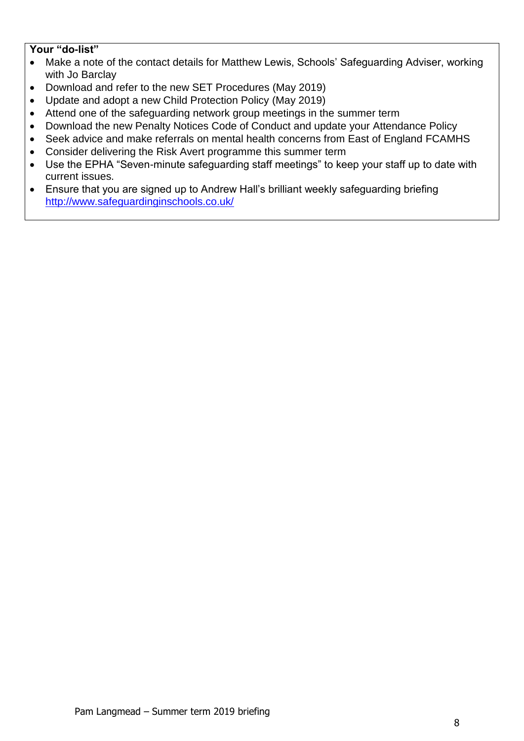- Make a note of the contact details for Matthew Lewis, Schools' Safeguarding Adviser, working with Jo Barclay
- Download and refer to the new SET Procedures (May 2019)
- Update and adopt a new Child Protection Policy (May 2019)
- Attend one of the safeguarding network group meetings in the summer term
- Download the new Penalty Notices Code of Conduct and update your Attendance Policy
- Seek advice and make referrals on mental health concerns from East of England FCAMHS
- Consider delivering the Risk Avert programme this summer term
- Use the EPHA "Seven-minute safeguarding staff meetings" to keep your staff up to date with current issues.
- Ensure that you are signed up to Andrew Hall's brilliant weekly safeguarding briefing <http://www.safeguardinginschools.co.uk/>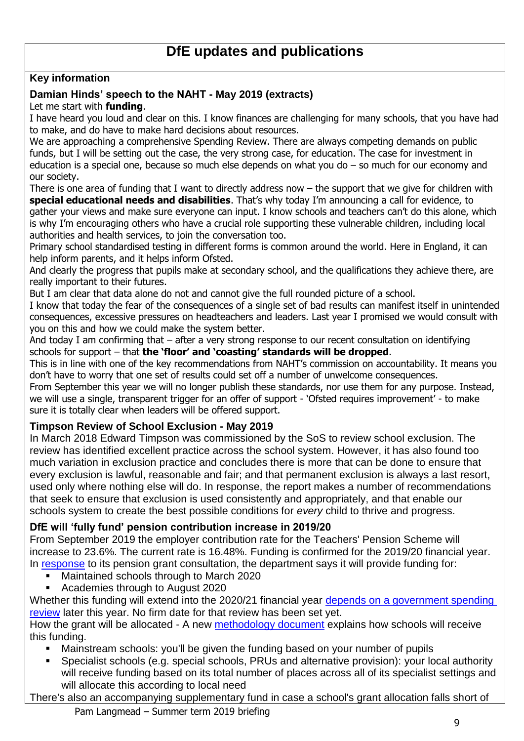## **Key information**

## **Damian Hinds' speech to the NAHT - May 2019 (extracts)**

### Let me start with **funding**.

I have heard you loud and clear on this. I know finances are challenging for many schools, that you have had to make, and do have to make hard decisions about resources.

We are approaching a comprehensive Spending Review. There are always competing demands on public funds, but I will be setting out the case, the very strong case, for education. The case for investment in education is a special one, because so much else depends on what you do – so much for our economy and our society.

There is one area of funding that I want to directly address now – the support that we give for children with **special educational needs and disabilities**. That's why today I'm announcing a call for evidence, to gather your views and make sure everyone can input. I know schools and teachers can't do this alone, which is why I'm encouraging others who have a crucial role supporting these vulnerable children, including local authorities and health services, to join the conversation too.

Primary school standardised testing in different forms is common around the world. Here in England, it can help inform parents, and it helps inform Ofsted.

And clearly the progress that pupils make at secondary school, and the qualifications they achieve there, are really important to their futures.

But I am clear that data alone do not and cannot give the full rounded picture of a school.

I know that today the fear of the consequences of a single set of bad results can manifest itself in unintended consequences, excessive pressures on headteachers and leaders. Last year I promised we would consult with you on this and how we could make the system better.

And today I am confirming that – after a very strong response to our recent consultation on identifying schools for support – that **the 'floor' and 'coasting' standards will be dropped**.

This is in line with one of the key recommendations from NAHT's commission on accountability. It means you don't have to worry that one set of results could set off a number of unwelcome consequences.

From September this year we will no longer publish these standards, nor use them for any purpose. Instead, we will use a single, transparent trigger for an offer of support - 'Ofsted requires improvement' - to make sure it is totally clear when leaders will be offered support.

#### **Timpson Review of School Exclusion - May 2019**

In March 2018 Edward Timpson was commissioned by the SoS to review school exclusion. The review has identified excellent practice across the school system. However, it has also found too much variation in exclusion practice and concludes there is more that can be done to ensure that every exclusion is lawful, reasonable and fair; and that permanent exclusion is always a last resort, used only where nothing else will do. In response, the report makes a number of recommendations that seek to ensure that exclusion is used consistently and appropriately, and that enable our schools system to create the best possible conditions for *every* child to thrive and progress.

## **DfE will 'fully fund' pension contribution increase in 2019/20**

From September 2019 the employer contribution rate for the Teachers' Pension Scheme will increase to 23.6%. The current rate is 16.48%. Funding is confirmed for the 2019/20 financial year. In [response](https://www.gov.uk/government/consultations/funding-increases-to-teachers-pensions-employer-contributions) to its pension grant consultation, the department says it will provide funding for:

- Maintained schools through to March 2020
- Academies through to August 2020

Whether this funding will extend into the 2020/21 financial year depends on [a government spending](https://www.gov.uk/government/news/teachers-pension-scheme-protected-to-ensure-it-remains-among-most-lucrative)  [review](https://www.gov.uk/government/news/teachers-pension-scheme-protected-to-ensure-it-remains-among-most-lucrative) later this year. No firm date for that review has been set yet.

How the grant will be allocated - A new [methodology document](https://www.gov.uk/government/publications/teachers-pension-employer-contribution-grant-tpecg/pension-grant-methodology) explains how schools will receive this funding.

- Mainstream schools: you'll be given the funding based on your number of pupils
- Specialist schools (e.g. special schools, PRUs and alternative provision): your local authority will receive funding based on its total number of places across all of its specialist settings and will allocate this according to local need

There's also an accompanying supplementary fund in case a school's grant allocation falls short of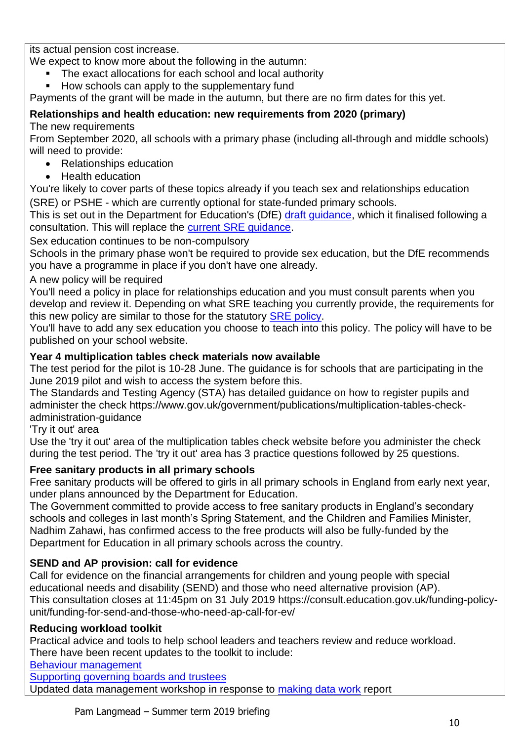its actual pension cost increase.

We expect to know more about the following in the autumn:

The exact allocations for each school and local authority

How schools can apply to the supplementary fund

Payments of the grant will be made in the autumn, but there are no firm dates for this yet.

#### **Relationships and health education: new requirements from 2020 (primary)** The new requirements

From September 2020, all schools with a primary phase (including all-through and middle schools) will need to provide:

- Relationships education
- Health education

You're likely to cover parts of these topics already if you teach sex and relationships education (SRE) or PSHE - which are currently optional for state-funded primary schools.

This is set out in the Department for Education's (DfE) [draft guidance,](https://www.gov.uk/government/consultations/relationships-and-sex-education-and-health-education) which it finalised following a consultation. This will replace the [current SRE guidance.](https://schoolleaders.thekeysupport.com/curriculum-and-learning/primary/curriculum-primary/sex-and-relationships-education-sre-statutory-components/?marker=content-body)

Sex education continues to be non-compulsory

Schools in the primary phase won't be required to provide sex education, but the DfE recommends you have a programme in place if you don't have one already.

## A new policy will be required

You'll need a policy in place for relationships education and you must consult parents when you develop and review it. Depending on what SRE teaching you currently provide, the requirements for this new policy are similar to those for the statutory [SRE policy.](https://schoolleaders.thekeysupport.com/policy-bank/curriculum/sre-policies-requirements-and-guidance/?marker=content-body)

You'll have to add any sex education you choose to teach into this policy. The policy will have to be published on your school website.

## **Year 4 multiplication tables check materials now available**

The test period for the pilot is 10-28 June. The guidance is for schools that are participating in the June 2019 pilot and wish to access the system before this.

The Standards and Testing Agency (STA) has detailed guidance on how to register pupils and administer the check https://www.gov.uk/government/publications/multiplication-tables-checkadministration-guidance

## 'Try it out' area

Use the 'try it out' area of the multiplication tables check website before you administer the check during the test period. The 'try it out' area has 3 practice questions followed by 25 questions.

## **Free sanitary products in all primary schools**

Free sanitary products will be offered to girls in all primary schools in England from early next year, under plans announced by the Department for Education.

The Government committed to provide access to free sanitary products in England's secondary schools and colleges in last month's Spring Statement, and the Children and Families Minister. Nadhim Zahawi, has confirmed access to the free products will also be fully-funded by the Department for Education in all primary schools across the country.

## **SEND and AP provision: call for evidence**

Call for evidence on the financial arrangements for children and young people with special educational needs and disability (SEND) and those who need alternative provision (AP). This consultation closes at 11:45pm on 31 July 2019 https://consult.education.gov.uk/funding-policyunit/funding-for-send-and-those-who-need-ap-call-for-ev/

## **Reducing workload toolkit**

Practical advice and tools to help school leaders and teachers review and reduce workload. There have been recent updates to the toolkit to include:

[Behaviour management](https://www.gov.uk/government/publications/behaviour-management-reducing-teacher-workload)

[Supporting governing boards and trustees](https://www.gov.uk/government/publications/supporting-governing-boards-and-trustees-reducing-teacher-workload)

Updated data management workshop in response to [making data work](https://www.gov.uk/government/publications/teacher-workload-advisory-group-report-and-government-response) report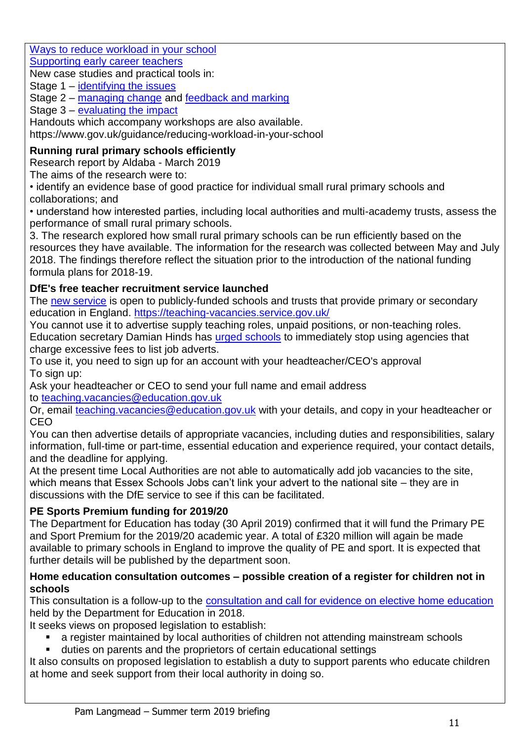Ways [to reduce workload in your school](https://www.gov.uk/government/publications/ways-to-reduce-workload-in-your-school-tips-from-school-leaders)

[Supporting early career teachers](https://www.gov.uk/government/publications/supporting-early-career-teachers-reducing-teacher-workload)

New case studies and practical tools in:

Stage 1 – [identifying the issues](https://www.gov.uk/government/publications/reducing-workload-identify-the-issues-in-your-school)

Stage 2 – [managing change](https://www.gov.uk/government/publications/managing-change-reducing-teacher-workload) and [feedback and marking](https://www.gov.uk/government/publications/feedback-and-marking-reducing-teacher-workload)

Stage 3 – [evaluating the impact](https://www.gov.uk/government/publications/reducing-teacher-workload-evaluating-the-impact)

Handouts which accompany workshops are also available.

https://www.gov.uk/guidance/reducing-workload-in-your-school

## **Running rural primary schools efficiently**

Research report by Aldaba - March 2019

The aims of the research were to:

• identify an evidence base of good practice for individual small rural primary schools and collaborations; and

• understand how interested parties, including local authorities and multi-academy trusts, assess the performance of small rural primary schools.

3. The research explored how small rural primary schools can be run efficiently based on the resources they have available. The information for the research was collected between May and July 2018. The findings therefore reflect the situation prior to the introduction of the national funding formula plans for 2018-19.

## **DfE's free teacher recruitment service launched**

The [new service](https://www.gov.uk/guidance/list-a-teaching-job-at-your-school-on-teaching-vacancies) is open to publicly-funded schools and trusts that provide primary or secondary education in England.<https://teaching-vacancies.service.gov.uk/>

You cannot use it to advertise supply teaching roles, unpaid positions, or non-teaching roles. Education secretary Damian Hinds has [urged schools](https://www.gov.uk/government/news/new-teacher-recruitment-service-set-to-save-schools-millions) to immediately stop using agencies that charge excessive fees to list job adverts.

To use it, you need to sign up for an account with your headteacher/CEO's approval To sign up:

Ask your headteacher or CEO to send your full name and email address to [teaching.vacancies@education.gov.uk](mailto:teaching.vacancies@education.gov.uk)

Or, email [teaching.vacancies@education.gov.uk](mailto:teaching.vacancies@education.gov.uk) with your details, and copy in your headteacher or CEO

You can then advertise details of appropriate vacancies, including duties and responsibilities, salary information, full-time or part-time, essential education and experience required, your contact details, and the deadline for applying.

At the present time Local Authorities are not able to automatically add job vacancies to the site, which means that Essex Schools Jobs can't link your advert to the national site – they are in discussions with the DfE service to see if this can be facilitated.

## **PE Sports Premium funding for 2019/20**

The Department for Education has today (30 April 2019) confirmed that it will fund the Primary PE and Sport Premium for the 2019/20 academic year. A total of £320 million will again be made available to primary schools in England to improve the quality of PE and sport. It is expected that further details will be published by the department soon.

#### **Home education consultation outcomes – possible creation of a register for children not in schools**

This consultation is a follow-up to the [consultation and call for evidence on elective home education](https://www.gov.uk/government/consultations/home-education-call-for-evidence-and-revised-dfe-guidance) held by the Department for Education in 2018.

It seeks views on proposed legislation to establish:

- a register maintained by local authorities of children not attending mainstream schools
- duties on parents and the proprietors of certain educational settings

It also consults on proposed legislation to establish a duty to support parents who educate children at home and seek support from their local authority in doing so.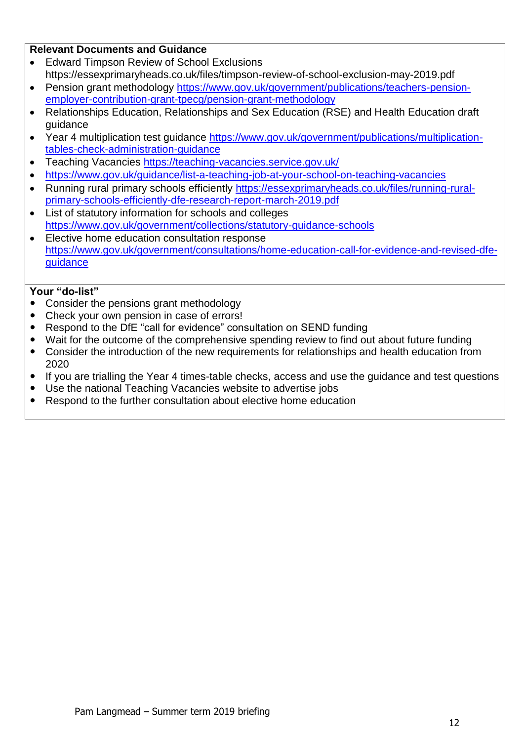#### **Relevant Documents and Guidance**

- Edward Timpson Review of School Exclusions https://essexprimaryheads.co.uk/files/timpson-review-of-school-exclusion-may-2019.pdf
- Pension grant methodology [https://www.gov.uk/government/publications/teachers-pension](https://www.gov.uk/government/publications/teachers-pension-employer-contribution-grant-tpecg/pension-grant-methodology)[employer-contribution-grant-tpecg/pension-grant-methodology](https://www.gov.uk/government/publications/teachers-pension-employer-contribution-grant-tpecg/pension-grant-methodology)
- Relationships Education, Relationships and Sex Education (RSE) and Health Education draft guidance
- Year 4 multiplication test guidance [https://www.gov.uk/government/publications/multiplication](https://www.gov.uk/government/publications/multiplication-tables-check-administration-guidance)[tables-check-administration-guidance](https://www.gov.uk/government/publications/multiplication-tables-check-administration-guidance)
- Teaching Vacancies<https://teaching-vacancies.service.gov.uk/>
- <https://www.gov.uk/guidance/list-a-teaching-job-at-your-school-on-teaching-vacancies>
- Running rural primary schools efficiently [https://essexprimaryheads.co.uk/files/running-rural](https://essexprimaryheads.co.uk/files/running-rural-primary-schools-efficiently-dfe-research-report-march-2019.pdf)[primary-schools-efficiently-dfe-research-report-march-2019.pdf](https://essexprimaryheads.co.uk/files/running-rural-primary-schools-efficiently-dfe-research-report-march-2019.pdf)
- List of statutory information for schools and colleges <https://www.gov.uk/government/collections/statutory-guidance-schools>
- Elective home education consultation response [https://www.gov.uk/government/consultations/home-education-call-for-evidence-and-revised-dfe](https://www.gov.uk/government/consultations/home-education-call-for-evidence-and-revised-dfe-guidance)[guidance](https://www.gov.uk/government/consultations/home-education-call-for-evidence-and-revised-dfe-guidance)

- Consider the pensions grant methodology
- Check your own pension in case of errors!
- Respond to the DfE "call for evidence" consultation on SEND funding
- Wait for the outcome of the comprehensive spending review to find out about future funding
- Consider the introduction of the new requirements for relationships and health education from 2020
- If you are trialling the Year 4 times-table checks, access and use the guidance and test questions
- Use the national Teaching Vacancies website to advertise jobs
- Respond to the further consultation about elective home education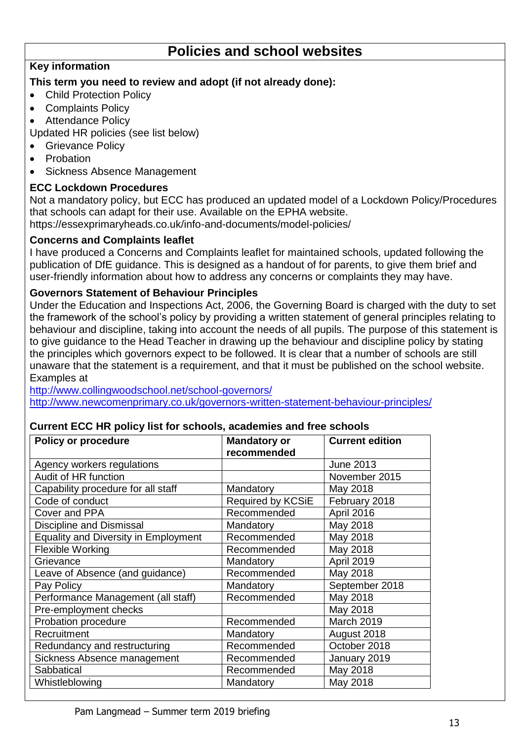## **Policies and school websites**

## **Key information**

## **This term you need to review and adopt (if not already done):**

- Child Protection Policy
- Complaints Policy
- Attendance Policy

Updated HR policies (see list below)

- **•** Grievance Policy
- Probation
- Sickness Absence Management

## **ECC Lockdown Procedures**

Not a mandatory policy, but ECC has produced an updated model of a Lockdown Policy/Procedures that schools can adapt for their use. Available on the EPHA website. https://essexprimaryheads.co.uk/info-and-documents/model-policies/

## **Concerns and Complaints leaflet**

I have produced a Concerns and Complaints leaflet for maintained schools, updated following the publication of DfE guidance. This is designed as a handout of for parents, to give them brief and user-friendly information about how to address any concerns or complaints they may have.

## **Governors Statement of Behaviour Principles**

Under the Education and Inspections Act, 2006, the Governing Board is charged with the duty to set the framework of the school's policy by providing a written statement of general principles relating to behaviour and discipline, taking into account the needs of all pupils. The purpose of this statement is to give guidance to the Head Teacher in drawing up the behaviour and discipline policy by stating the principles which governors expect to be followed. It is clear that a number of schools are still unaware that the statement is a requirement, and that it must be published on the school website. Examples at

<http://www.collingwoodschool.net/school-governors/> <http://www.newcomenprimary.co.uk/governors-written-statement-behaviour-principles/>

#### **Current ECC HR policy list for schools, academies and free schools**

| Policy or procedure                         | <b>Mandatory or</b><br>recommended | <b>Current edition</b> |
|---------------------------------------------|------------------------------------|------------------------|
| Agency workers regulations                  |                                    | <b>June 2013</b>       |
| Audit of HR function                        |                                    | November 2015          |
| Capability procedure for all staff          | Mandatory                          | May 2018               |
| Code of conduct                             | <b>Required by KCSiE</b>           | February 2018          |
| Cover and PPA                               | Recommended                        | April 2016             |
| <b>Discipline and Dismissal</b>             | Mandatory                          | May 2018               |
| <b>Equality and Diversity in Employment</b> | Recommended                        | May 2018               |
| <b>Flexible Working</b>                     | Recommended                        | May 2018               |
| Grievance                                   | Mandatory                          | <b>April 2019</b>      |
| Leave of Absence (and guidance)             | Recommended                        | May 2018               |
| Pay Policy                                  | Mandatory                          | September 2018         |
| Performance Management (all staff)          | Recommended                        | May 2018               |
| Pre-employment checks                       |                                    | May 2018               |
| Probation procedure                         | Recommended                        | March 2019             |
| Recruitment                                 | Mandatory                          | August 2018            |
| Redundancy and restructuring                | Recommended                        | October 2018           |
| Sickness Absence management                 | Recommended                        | January 2019           |
| Sabbatical                                  | Recommended                        | May 2018               |
| Whistleblowing                              | Mandatory                          | May 2018               |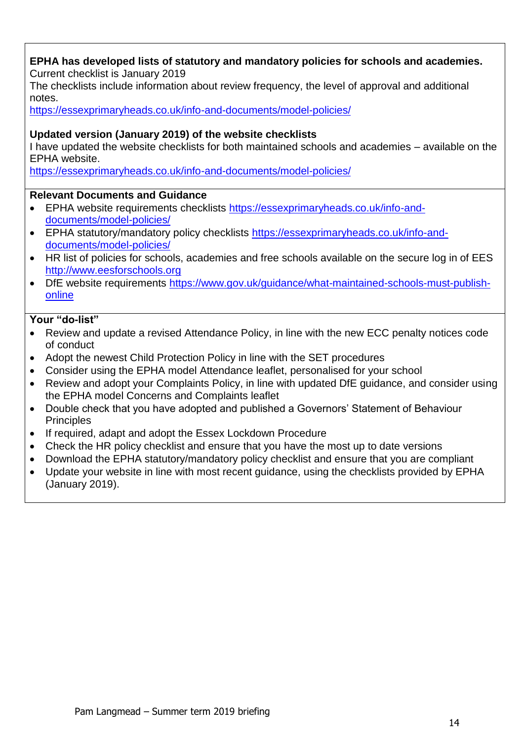#### **EPHA has developed lists of statutory and mandatory policies for schools and academies.** Current checklist is January 2019

The checklists include information about review frequency, the level of approval and additional notes.

<https://essexprimaryheads.co.uk/info-and-documents/model-policies/>

#### **Updated version (January 2019) of the website checklists**

I have updated the website checklists for both maintained schools and academies – available on the EPHA website.

<https://essexprimaryheads.co.uk/info-and-documents/model-policies/>

#### **Relevant Documents and Guidance**

- EPHA website requirements checklists [https://essexprimaryheads.co.uk/info-and](https://essexprimaryheads.co.uk/info-and-documents/model-policies/)[documents/model-policies/](https://essexprimaryheads.co.uk/info-and-documents/model-policies/)
- EPHA statutory/mandatory policy checklists [https://essexprimaryheads.co.uk/info-and](https://essexprimaryheads.co.uk/info-and-documents/model-policies/)[documents/model-policies/](https://essexprimaryheads.co.uk/info-and-documents/model-policies/)
- HR list of policies for schools, academies and free schools available on the secure log in of EES [http://www.eesforschools.org](http://www.eesforschools.org/)
- DfE website requirements [https://www.gov.uk/guidance/what-maintained-schools-must-publish](https://www.gov.uk/guidance/what-maintained-schools-must-publish-online)[online](https://www.gov.uk/guidance/what-maintained-schools-must-publish-online)

- Review and update a revised Attendance Policy, in line with the new ECC penalty notices code of conduct
- Adopt the newest Child Protection Policy in line with the SET procedures
- Consider using the EPHA model Attendance leaflet, personalised for your school
- Review and adopt your Complaints Policy, in line with updated DfE guidance, and consider using the EPHA model Concerns and Complaints leaflet
- Double check that you have adopted and published a Governors' Statement of Behaviour **Principles**
- If required, adapt and adopt the Essex Lockdown Procedure
- Check the HR policy checklist and ensure that you have the most up to date versions
- Download the EPHA statutory/mandatory policy checklist and ensure that you are compliant
- Update your website in line with most recent guidance, using the checklists provided by EPHA (January 2019).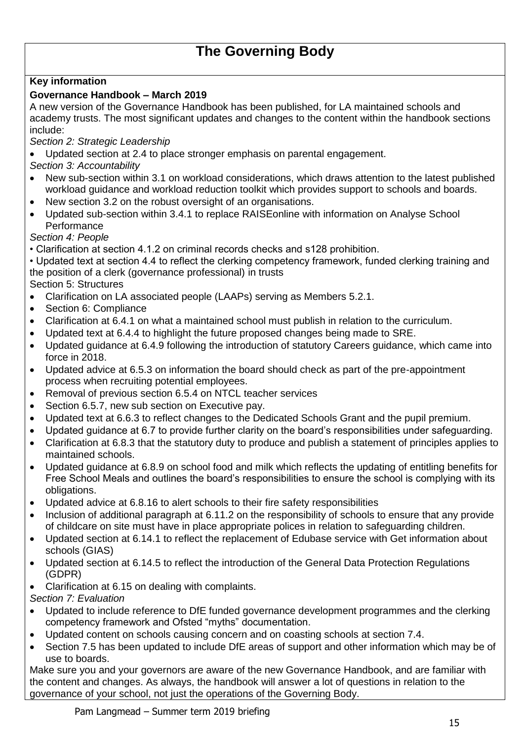## **The Governing Body**

## **Key information**

### **Governance Handbook – March 2019**

A new version of the Governance Handbook has been published, for LA maintained schools and academy trusts. The most significant updates and changes to the content within the handbook sections include:

*Section 2: Strategic Leadership* 

Updated section at 2.4 to place stronger emphasis on parental engagement.

*Section 3: Accountability* 

- New sub-section within 3.1 on workload considerations, which draws attention to the latest published workload guidance and workload reduction toolkit which provides support to schools and boards.
- New section 3.2 on the robust oversight of an organisations.
- Updated sub-section within 3.4.1 to replace RAISEonline with information on Analyse School **Performance**

*Section 4: People* 

• Clarification at section 4.1.2 on criminal records checks and s128 prohibition.

• Updated text at section 4.4 to reflect the clerking competency framework, funded clerking training and the position of a clerk (governance professional) in trusts

Section 5: Structures

- Clarification on LA associated people (LAAPs) serving as Members 5.2.1.
- Section 6: Compliance
- Clarification at 6.4.1 on what a maintained school must publish in relation to the curriculum.
- Updated text at 6.4.4 to highlight the future proposed changes being made to SRE.
- Updated guidance at 6.4.9 following the introduction of statutory Careers guidance, which came into force in 2018.
- Updated advice at 6.5.3 on information the board should check as part of the pre-appointment process when recruiting potential employees.
- Removal of previous section 6.5.4 on NTCL teacher services
- Section 6.5.7, new sub section on Executive pay.
- Updated text at 6.6.3 to reflect changes to the Dedicated Schools Grant and the pupil premium.
- Updated guidance at 6.7 to provide further clarity on the board's responsibilities under safeguarding.
- Clarification at 6.8.3 that the statutory duty to produce and publish a statement of principles applies to maintained schools.
- Updated guidance at 6.8.9 on school food and milk which reflects the updating of entitling benefits for Free School Meals and outlines the board's responsibilities to ensure the school is complying with its obligations.
- Updated advice at 6.8.16 to alert schools to their fire safety responsibilities
- Inclusion of additional paragraph at 6.11.2 on the responsibility of schools to ensure that any provide of childcare on site must have in place appropriate polices in relation to safeguarding children.
- Updated section at 6.14.1 to reflect the replacement of Edubase service with Get information about schools (GIAS)
- Updated section at 6.14.5 to reflect the introduction of the General Data Protection Regulations (GDPR)
- Clarification at 6.15 on dealing with complaints.

*Section 7: Evaluation* 

- Updated to include reference to DfE funded governance development programmes and the clerking competency framework and Ofsted "myths" documentation.
- Updated content on schools causing concern and on coasting schools at section 7.4.
- Section 7.5 has been updated to include DfE areas of support and other information which may be of use to boards.

Make sure you and your governors are aware of the new Governance Handbook, and are familiar with the content and changes. As always, the handbook will answer a lot of questions in relation to the governance of your school, not just the operations of the Governing Body.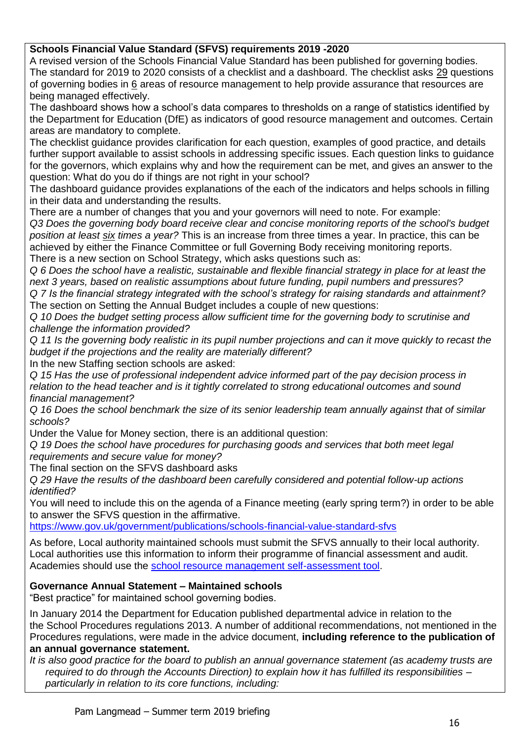#### **Schools Financial Value Standard (SFVS) requirements 2019 -2020**

A revised version of the Schools Financial Value Standard has been published for governing bodies. The standard for 2019 to 2020 consists of a checklist and a dashboard. The checklist asks 29 questions of governing bodies in 6 areas of resource management to help provide assurance that resources are being managed effectively.

The dashboard shows how a school's data compares to thresholds on a range of statistics identified by the Department for Education (DfE) as indicators of good resource management and outcomes. Certain areas are mandatory to complete.

The checklist guidance provides clarification for each question, examples of good practice, and details further support available to assist schools in addressing specific issues. Each question links to guidance for the governors, which explains why and how the requirement can be met, and gives an answer to the question: What do you do if things are not right in your school?

The dashboard guidance provides explanations of the each of the indicators and helps schools in filling in their data and understanding the results.

There are a number of changes that you and your governors will need to note. For example:

*Q3 Does the governing body board receive clear and concise monitoring reports of the school's budget position at least six times a year?* This is an increase from three times a year. In practice, this can be achieved by either the Finance Committee or full Governing Body receiving monitoring reports. There is a new section on School Strategy, which asks questions such as:

*Q 6 Does the school have a realistic, sustainable and flexible financial strategy in place for at least the next 3 years, based on realistic assumptions about future funding, pupil numbers and pressures? Q 7 Is the financial strategy integrated with the school's strategy for raising standards and attainment?* The section on Setting the Annual Budget includes a couple of new questions:

*Q 10 Does the budget setting process allow sufficient time for the governing body to scrutinise and challenge the information provided?*

*Q 11 Is the governing body realistic in its pupil number projections and can it move quickly to recast the budget if the projections and the reality are materially different?*

In the new Staffing section schools are asked:

*Q 15 Has the use of professional independent advice informed part of the pay decision process in relation to the head teacher and is it tightly correlated to strong educational outcomes and sound financial management?*

*Q 16 Does the school benchmark the size of its senior leadership team annually against that of similar schools?*

Under the Value for Money section, there is an additional question:

*Q 19 Does the school have procedures for purchasing goods and services that both meet legal requirements and secure value for money?*

The final section on the SFVS dashboard asks

*Q 29 Have the results of the dashboard been carefully considered and potential follow-up actions identified?*

You will need to include this on the agenda of a Finance meeting (early spring term?) in order to be able to answer the SFVS question in the affirmative.

<https://www.gov.uk/government/publications/schools-financial-value-standard-sfvs>

As before, Local authority maintained schools must submit the SFVS annually to their local authority. Local authorities use this information to inform their programme of financial assessment and audit. Academies should use the [school resource management self-assessment tool.](https://www.gov.uk/government/publications/school-resource-management-self-assessment-tool)

#### **Governance Annual Statement – Maintained schools**

"Best practice" for maintained school governing bodies.

In January 2014 the Department for Education published departmental advice in relation to the the School Procedures regulations 2013. A number of additional recommendations, not mentioned in the Procedures regulations, were made in the advice document, **including reference to the publication of an annual governance statement.**

*It is also good practice for the board to publish an annual governance statement (as academy trusts are required to do through the Accounts Direction) to explain how it has fulfilled its responsibilities – particularly in relation to its core functions, including:*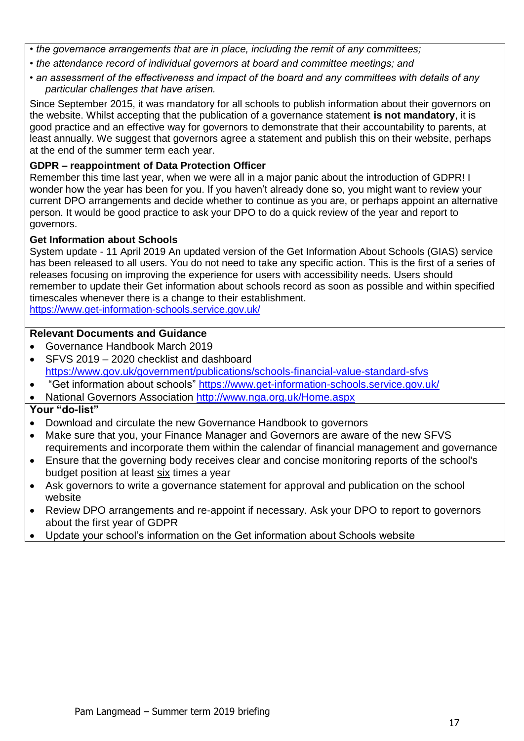- *the governance arrangements that are in place, including the remit of any committees;*
- *the attendance record of individual governors at board and committee meetings; and*
- *an assessment of the effectiveness and impact of the board and any committees with details of any particular challenges that have arisen.*

Since September 2015, it was mandatory for all schools to publish information about their governors on the website. Whilst accepting that the publication of a governance statement **is not mandatory**, it is good practice and an effective way for governors to demonstrate that their accountability to parents, at least annually. We suggest that governors agree a statement and publish this on their website, perhaps at the end of the summer term each year.

#### **GDPR – reappointment of Data Protection Officer**

Remember this time last year, when we were all in a major panic about the introduction of GDPR! I wonder how the year has been for you. If you haven't already done so, you might want to review your current DPO arrangements and decide whether to continue as you are, or perhaps appoint an alternative person. It would be good practice to ask your DPO to do a quick review of the year and report to governors.

#### **Get Information about Schools**

System update - 11 April 2019 An updated version of the Get Information About Schools (GIAS) service has been released to all users. You do not need to take any specific action. This is the first of a series of releases focusing on improving the experience for users with accessibility needs. Users should remember to update their Get information about schools record as soon as possible and within specified timescales whenever there is a change to their establishment. <https://www.get-information-schools.service.gov.uk/>

#### **Relevant Documents and Guidance**

- Governance Handbook March 2019
- SFVS 2019 2020 checklist and dashboard <https://www.gov.uk/government/publications/schools-financial-value-standard-sfvs>
- "Get information about schools"<https://www.get-information-schools.service.gov.uk/>
- National Governors Association<http://www.nga.org.uk/Home.aspx>

- Download and circulate the new Governance Handbook to governors
- Make sure that you, your Finance Manager and Governors are aware of the new SFVS requirements and incorporate them within the calendar of financial management and governance
- Ensure that the governing body receives clear and concise monitoring reports of the school's budget position at least six times a year
- Ask governors to write a governance statement for approval and publication on the school website
- Review DPO arrangements and re-appoint if necessary. Ask your DPO to report to governors about the first year of GDPR
- Update your school's information on the Get information about Schools website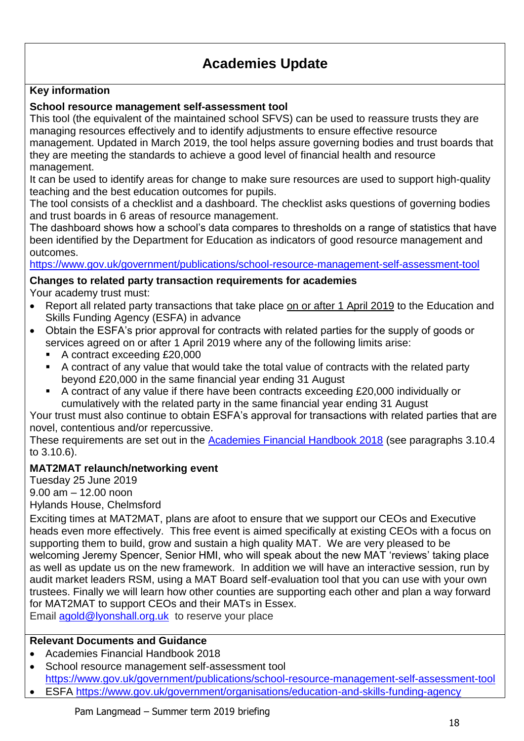## **Academies Update**

## **Key information**

## **School resource management self-assessment tool**

This tool (the equivalent of the maintained school SFVS) can be used to reassure trusts they are managing resources effectively and to identify adjustments to ensure effective resource management. Updated in March 2019, the tool helps assure governing bodies and trust boards that they are meeting the standards to achieve a good level of financial health and resource

management.

It can be used to identify areas for change to make sure resources are used to support high-quality teaching and the best education outcomes for pupils.

The tool consists of a checklist and a dashboard. The checklist asks questions of governing bodies and trust boards in 6 areas of resource management.

The dashboard shows how a school's data compares to thresholds on a range of statistics that have been identified by the Department for Education as indicators of good resource management and outcomes.

<https://www.gov.uk/government/publications/school-resource-management-self-assessment-tool>

## **Changes to related party transaction requirements for academies**

Your academy trust must:

- Report all related party transactions that take place on or after 1 April 2019 to the Education and Skills Funding Agency (ESFA) in advance
- Obtain the ESFA's prior approval for contracts with related parties for the supply of goods or services agreed on or after 1 April 2019 where any of the following limits arise:
	- A contract exceeding £20,000
	- A contract of any value that would take the total value of contracts with the related party beyond £20,000 in the same financial year ending 31 August
	- A contract of any value if there have been contracts exceeding £20,000 individually or cumulatively with the related party in the same financial year ending 31 August

Your trust must also continue to obtain ESFA's approval for transactions with related parties that are novel, contentious and/or repercussive.

These requirements are set out in the [Academies Financial Handbook 2018](https://www.gov.uk/government/publications/academies-financial-handbook) (see paragraphs 3.10.4 to 3.10.6).

## **MAT2MAT relaunch/networking event**

Tuesday 25 June 2019 9.00 am – 12.00 noon Hylands House, Chelmsford

Exciting times at MAT2MAT, plans are afoot to ensure that we support our CEOs and Executive heads even more effectively. This free event is aimed specifically at existing CEOs with a focus on supporting them to build, grow and sustain a high quality MAT. We are very pleased to be welcoming Jeremy Spencer, Senior HMI, who will speak about the new MAT 'reviews' taking place as well as update us on the new framework. In addition we will have an interactive session, run by audit market leaders RSM, using a MAT Board self-evaluation tool that you can use with your own trustees. Finally we will learn how other counties are supporting each other and plan a way forward for MAT2MAT to support CEOs and their MATs in Essex.

Email [agold@lyonshall.org.uk](mailto:agold@lyonshall.org.uk) to reserve your place

### **Relevant Documents and Guidance**

- Academies Financial Handbook 2018
- School resource management self-assessment tool <https://www.gov.uk/government/publications/school-resource-management-self-assessment-tool>
- ESFA<https://www.gov.uk/government/organisations/education-and-skills-funding-agency>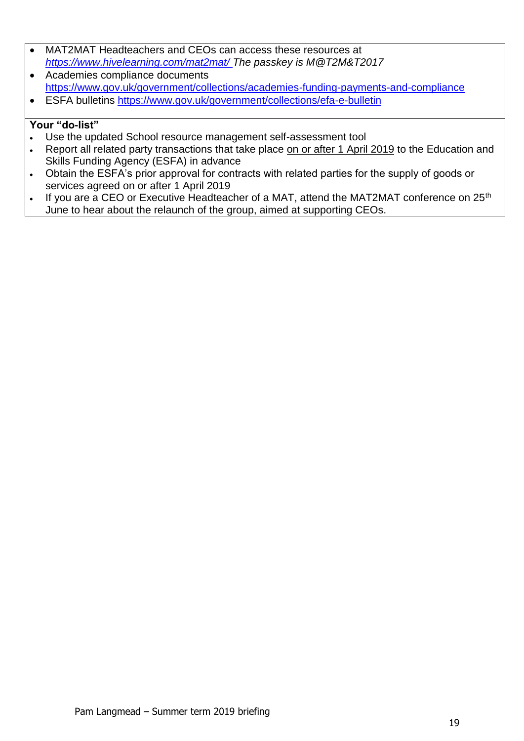- MAT2MAT Headteachers and CEOs can access these resources at *<https://www.hivelearning.com/mat2mat/> The passkey is M@T2M&T2017* Academies compliance documents
- <https://www.gov.uk/government/collections/academies-funding-payments-and-compliance>
- ESFA bulletins<https://www.gov.uk/government/collections/efa-e-bulletin>

- Use the updated School resource management self-assessment tool
- Report all related party transactions that take place on or after 1 April 2019 to the Education and Skills Funding Agency (ESFA) in advance
- Obtain the ESFA's prior approval for contracts with related parties for the supply of goods or services agreed on or after 1 April 2019
- If you are a CEO or Executive Headteacher of a MAT, attend the MAT2MAT conference on 25<sup>th</sup> June to hear about the relaunch of the group, aimed at supporting CEOs.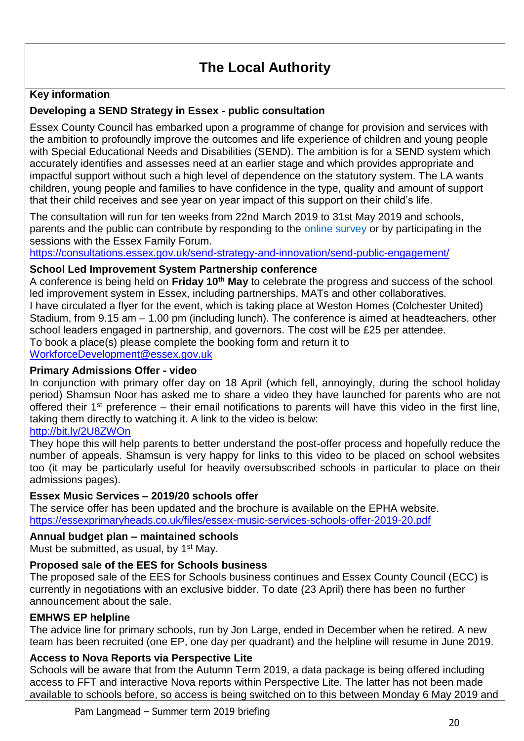## **The Local Authority**

## **Key information**

## **Developing a SEND Strategy in Essex - public consultation**

Essex County Council has embarked upon a programme of change for provision and services with the ambition to profoundly improve the outcomes and life experience of children and young people with Special Educational Needs and Disabilities (SEND). The ambition is for a SEND system which accurately identifies and assesses need at an earlier stage and which provides appropriate and impactful support without such a high level of dependence on the statutory system. The LA wants children, young people and families to have confidence in the type, quality and amount of support that their child receives and see year on year impact of this support on their child's life.

The consultation will run for ten weeks from 22nd March 2019 to 31st May 2019 and schools, parents and the public can contribute by responding to the online survey or by participating in the sessions with the Essex Family Forum.

<https://consultations.essex.gov.uk/send-strategy-and-innovation/send-public-engagement/>

#### **School Led Improvement System Partnership conference**

A conference is being held on **Friday 10th May** to celebrate the progress and success of the school led improvement system in Essex, including partnerships, MATs and other collaboratives. I have circulated a flyer for the event, which is taking place at Weston Homes (Colchester United) Stadium, from 9.15 am – 1.00 pm (including lunch). The conference is aimed at headteachers, other school leaders engaged in partnership, and governors. The cost will be £25 per attendee. To book a place(s) please complete the booking form and return it to

[WorkforceDevelopment@essex.gov.uk](mailto:WorkforceDevelopment@essex.gov.uk)

#### **Primary Admissions Offer - video**

In conjunction with primary offer day on 18 April (which fell, annoyingly, during the school holiday period) Shamsun Noor has asked me to share a video they have launched for parents who are not offered their 1st preference – their email notifications to parents will have this video in the first line, taking them directly to watching it. A link to the video is below:

## <http://bit.ly/2U8ZWOn>

They hope this will help parents to better understand the post-offer process and hopefully reduce the number of appeals. Shamsun is very happy for links to this video to be placed on school websites too (it may be particularly useful for heavily oversubscribed schools in particular to place on their admissions pages).

#### **Essex Music Services – 2019/20 schools offer**

The service offer has been updated and the brochure is available on the EPHA website. <https://essexprimaryheads.co.uk/files/essex-music-services-schools-offer-2019-20.pdf>

#### **Annual budget plan – maintained schools**

Must be submitted, as usual, by  $1<sup>st</sup>$  May.

#### **Proposed sale of the EES for Schools business**

The proposed sale of the EES for Schools business continues and Essex County Council (ECC) is currently in negotiations with an exclusive bidder. To date (23 April) there has been no further announcement about the sale.

#### **EMHWS EP helpline**

The advice line for primary schools, run by Jon Large, ended in December when he retired. A new team has been recruited (one EP, one day per quadrant) and the helpline will resume in June 2019.

#### **Access to Nova Reports via Perspective Lite**

Schools will be aware that from the Autumn Term 2019, a data package is being offered including access to FFT and interactive Nova reports within Perspective Lite. The latter has not been made available to schools before, so access is being switched on to this between Monday 6 May 2019 and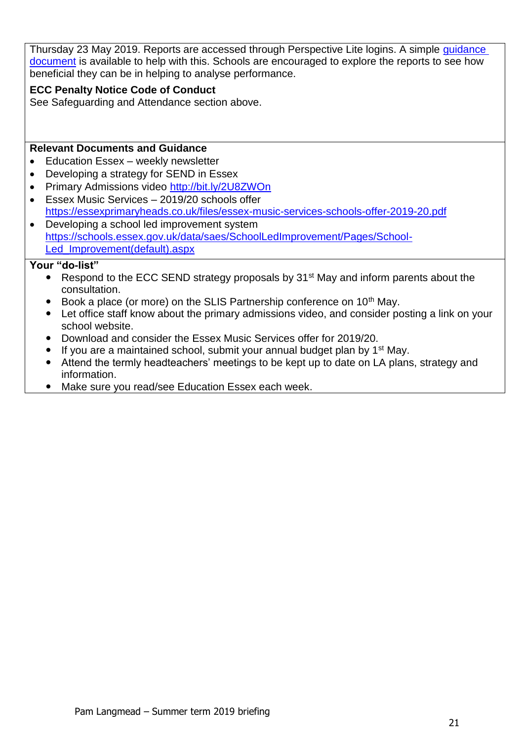Thursday 23 May 2019. Reports are accessed through Perspective Lite logins. A simple quidance [document](http://links.govdelivery.com/track?type=click&enid=ZWFzPTEmbWFpbGluZ2lkPTIwMTkwNTA4LjU2MjYyMTEmbWVzc2FnZWlkPU1EQi1QUkQtQlVMLTIwMTkwNTA4LjU2MjYyMTEmZGF0YWJhc2VpZD0xMDAxJnNlcmlhbD0xNzQ2ODYyNyZlbWFpbGlkPXBhbUBsYW5nbWVhZC5tZS51ayZ1c2VyaWQ9cGFtQGxhbmdtZWFkLm1lLnVrJmZsPSZleHRyYT1NdWx0aXZhcmlhdGVJZD0mJiY=&&&106&&&https://schools.essex.gov.uk/data/collections/EducationData/PerspectiveLite/Pages/default.aspx) is available to help with this. Schools are encouraged to explore the reports to see how beneficial they can be in helping to analyse performance.

#### **ECC Penalty Notice Code of Conduct**

See Safeguarding and Attendance section above.

#### **Relevant Documents and Guidance**

- Education Essex weekly newsletter
- Developing a strategy for SEND in Essex
- Primary Admissions video<http://bit.ly/2U8ZWOn>
- Essex Music Services 2019/20 schools offer <https://essexprimaryheads.co.uk/files/essex-music-services-schools-offer-2019-20.pdf>
- Developing a school led improvement system [https://schools.essex.gov.uk/data/saes/SchoolLedImprovement/Pages/School-](https://schools.essex.gov.uk/data/saes/SchoolLedImprovement/Pages/School-Led_Improvement(default).aspx)[Led\\_Improvement\(default\).aspx](https://schools.essex.gov.uk/data/saes/SchoolLedImprovement/Pages/School-Led_Improvement(default).aspx)

- Respond to the ECC SEND strategy proposals by 31<sup>st</sup> May and inform parents about the consultation.
- $\bullet$  Book a place (or more) on the SLIS Partnership conference on 10<sup>th</sup> May.
- Let office staff know about the primary admissions video, and consider posting a link on your school website.
- Download and consider the Essex Music Services offer for 2019/20.
- If you are a maintained school, submit your annual budget plan by  $1<sup>st</sup>$  May.
- Attend the termly headteachers' meetings to be kept up to date on LA plans, strategy and information.
- Make sure you read/see Education Essex each week.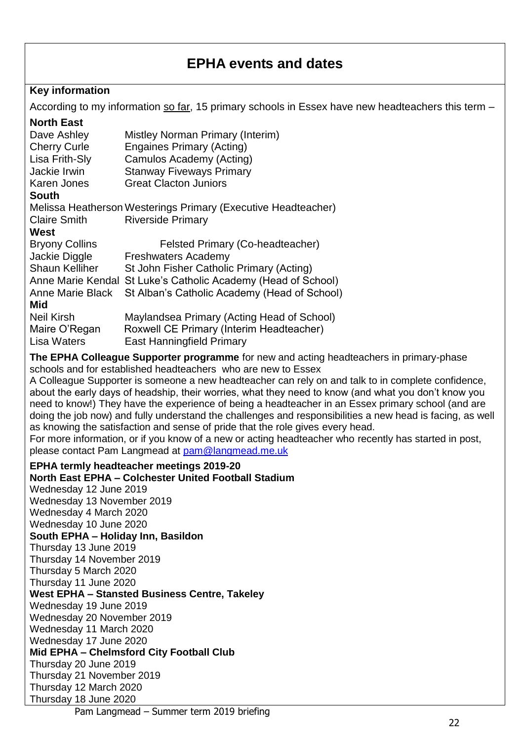## **EPHA events and dates**

#### **Key information**

According to my information so far, 15 primary schools in Essex have new headteachers this term –

|  | <b>North East</b> |
|--|-------------------|
|  |                   |

| Dave Ashley                                                                             | Mistley Norman Primary (Interim)                              |  |  |  |
|-----------------------------------------------------------------------------------------|---------------------------------------------------------------|--|--|--|
| <b>Cherry Curle</b>                                                                     | Engaines Primary (Acting)                                     |  |  |  |
| Lisa Frith-Sly                                                                          | Camulos Academy (Acting)                                      |  |  |  |
| Jackie Irwin                                                                            | <b>Stanway Fiveways Primary</b>                               |  |  |  |
| Karen Jones                                                                             | <b>Great Clacton Juniors</b>                                  |  |  |  |
| <b>South</b>                                                                            |                                                               |  |  |  |
|                                                                                         | Melissa Heatherson Westerings Primary (Executive Headteacher) |  |  |  |
| <b>Claire Smith</b>                                                                     | <b>Riverside Primary</b>                                      |  |  |  |
| West                                                                                    |                                                               |  |  |  |
| <b>Bryony Collins</b>                                                                   | Felsted Primary (Co-headteacher)                              |  |  |  |
| Jackie Diggle                                                                           | Freshwaters Academy                                           |  |  |  |
| <b>Shaun Kelliher</b>                                                                   | St John Fisher Catholic Primary (Acting)                      |  |  |  |
|                                                                                         | Anne Marie Kendal St Luke's Catholic Academy (Head of School) |  |  |  |
| Anne Marie Black                                                                        | St Alban's Catholic Academy (Head of School)                  |  |  |  |
| Mid                                                                                     |                                                               |  |  |  |
| <b>Neil Kirsh</b>                                                                       | Maylandsea Primary (Acting Head of School)                    |  |  |  |
| Maire O'Regan                                                                           | Roxwell CE Primary (Interim Headteacher)                      |  |  |  |
| Lisa Waters                                                                             | East Hanningfield Primary                                     |  |  |  |
| The EPHA Colleague Supporter programme for new and acting headteachers in primary-phase |                                                               |  |  |  |

schools and for established headteachers who are new to Essex A Colleague Supporter is someone a new headteacher can rely on and talk to in complete confidence, about the early days of headship, their worries, what they need to know (and what you don't know you need to know!) They have the experience of being a headteacher in an Essex primary school (and are doing the job now) and fully understand the challenges and responsibilities a new head is facing, as well as knowing the satisfaction and sense of pride that the role gives every head.

For more information, or if you know of a new or acting headteacher who recently has started in post, please contact Pam Langmead at [pam@langmead.me.uk](mailto:pam@langmead.me.uk)

#### **EPHA termly headteacher meetings 2019-20 North East EPHA – Colchester United Football Stadium**  Wednesday 12 June 2019

Wednesday 13 November 2019 Wednesday 4 March 2020 Wednesday 10 June 2020 **South EPHA – Holiday Inn, Basildon**  Thursday 13 June 2019 Thursday 14 November 2019 Thursday 5 March 2020 Thursday 11 June 2020 **West EPHA – Stansted Business Centre, Takeley**  Wednesday 19 June 2019 Wednesday 20 November 2019 Wednesday 11 March 2020 Wednesday 17 June 2020 **Mid EPHA – Chelmsford City Football Club**  Thursday 20 June 2019 Thursday 21 November 2019 Thursday 12 March 2020 Thursday 18 June 2020